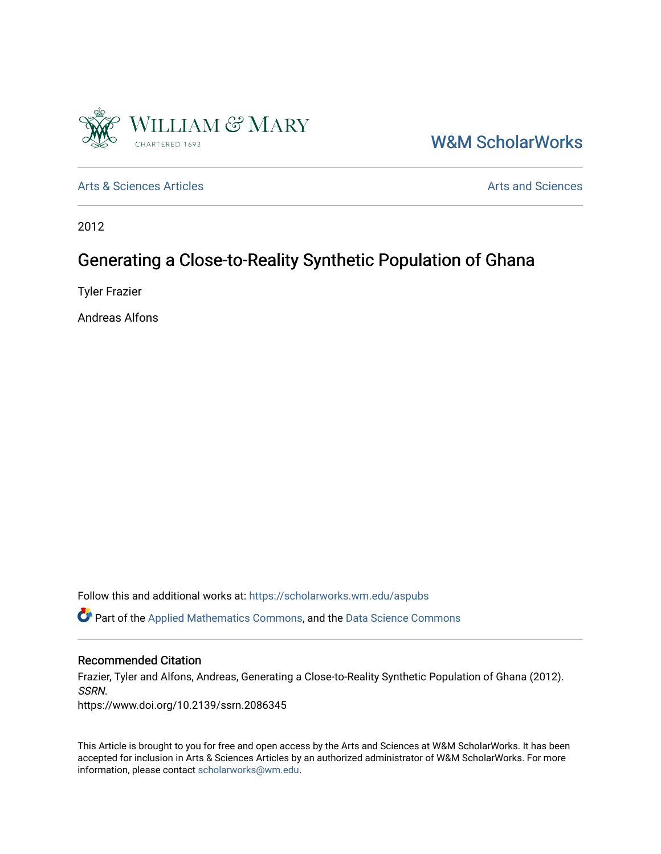

[W&M ScholarWorks](https://scholarworks.wm.edu/) 

[Arts & Sciences Articles](https://scholarworks.wm.edu/aspubs) **Articles** [Arts and Sciences](https://scholarworks.wm.edu/as) Articles Arts and Sciences Arts and Sciences

2012

# Generating a Close-to-Reality Synthetic Population of Ghana

Tyler Frazier

Andreas Alfons

Follow this and additional works at: [https://scholarworks.wm.edu/aspubs](https://scholarworks.wm.edu/aspubs?utm_source=scholarworks.wm.edu%2Faspubs%2F2074&utm_medium=PDF&utm_campaign=PDFCoverPages) 

Part of the [Applied Mathematics Commons](http://network.bepress.com/hgg/discipline/115?utm_source=scholarworks.wm.edu%2Faspubs%2F2074&utm_medium=PDF&utm_campaign=PDFCoverPages), and the [Data Science Commons](http://network.bepress.com/hgg/discipline/1429?utm_source=scholarworks.wm.edu%2Faspubs%2F2074&utm_medium=PDF&utm_campaign=PDFCoverPages)

### Recommended Citation

Frazier, Tyler and Alfons, Andreas, Generating a Close-to-Reality Synthetic Population of Ghana (2012). SSRN.

https://www.doi.org/10.2139/ssrn.2086345

This Article is brought to you for free and open access by the Arts and Sciences at W&M ScholarWorks. It has been accepted for inclusion in Arts & Sciences Articles by an authorized administrator of W&M ScholarWorks. For more information, please contact [scholarworks@wm.edu](mailto:scholarworks@wm.edu).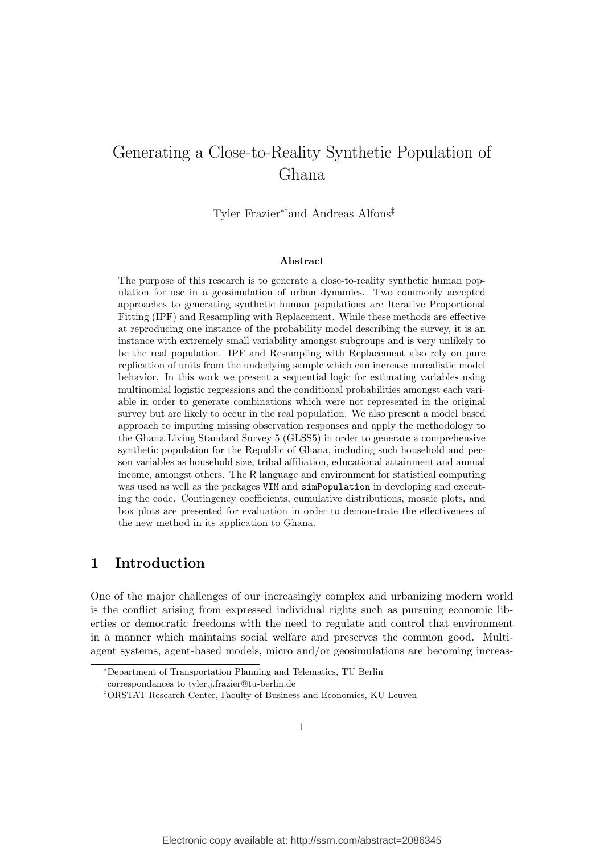# Generating a Close-to-Reality Synthetic Population of Ghana

Tyler Frazier∗†and Andreas Alfons‡

#### Abstract

The purpose of this research is to generate a close-to-reality synthetic human population for use in a geosimulation of urban dynamics. Two commonly accepted approaches to generating synthetic human populations are Iterative Proportional Fitting (IPF) and Resampling with Replacement. While these methods are effective at reproducing one instance of the probability model describing the survey, it is an instance with extremely small variability amongst subgroups and is very unlikely to be the real population. IPF and Resampling with Replacement also rely on pure replication of units from the underlying sample which can increase unrealistic model behavior. In this work we present a sequential logic for estimating variables using multinomial logistic regressions and the conditional probabilities amongst each variable in order to generate combinations which were not represented in the original survey but are likely to occur in the real population. We also present a model based approach to imputing missing observation responses and apply the methodology to the Ghana Living Standard Survey 5 (GLSS5) in order to generate a comprehensive synthetic population for the Republic of Ghana, including such household and person variables as household size, tribal affiliation, educational attainment and annual income, amongst others. The R language and environment for statistical computing was used as well as the packages VIM and simPopulation in developing and executing the code. Contingency coefficients, cumulative distributions, mosaic plots, and box plots are presented for evaluation in order to demonstrate the effectiveness of the new method in its application to Ghana.

## 1 Introduction

One of the major challenges of our increasingly complex and urbanizing modern world is the conflict arising from expressed individual rights such as pursuing economic liberties or democratic freedoms with the need to regulate and control that environment in a manner which maintains social welfare and preserves the common good. Multiagent systems, agent-based models, micro and/or geosimulations are becoming increas-

<sup>∗</sup>Department of Transportation Planning and Telematics, TU Berlin

<sup>†</sup> correspondances to tyler.j.frazier@tu-berlin.de

<sup>‡</sup>ORSTAT Research Center, Faculty of Business and Economics, KU Leuven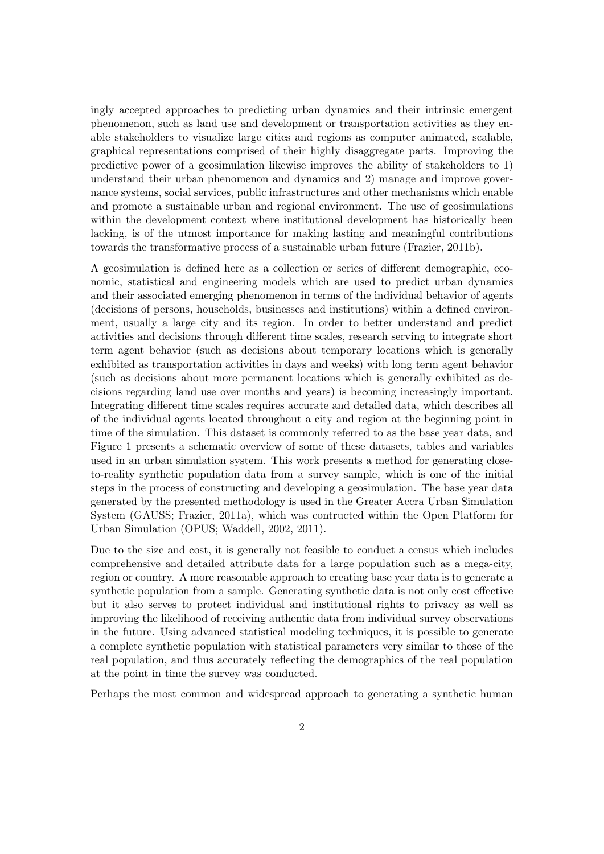ingly accepted approaches to predicting urban dynamics and their intrinsic emergent phenomenon, such as land use and development or transportation activities as they enable stakeholders to visualize large cities and regions as computer animated, scalable, graphical representations comprised of their highly disaggregate parts. Improving the predictive power of a geosimulation likewise improves the ability of stakeholders to 1) understand their urban phenomenon and dynamics and 2) manage and improve governance systems, social services, public infrastructures and other mechanisms which enable and promote a sustainable urban and regional environment. The use of geosimulations within the development context where institutional development has historically been lacking, is of the utmost importance for making lasting and meaningful contributions towards the transformative process of a sustainable urban future (Frazier, 2011b).

A geosimulation is defined here as a collection or series of different demographic, economic, statistical and engineering models which are used to predict urban dynamics and their associated emerging phenomenon in terms of the individual behavior of agents (decisions of persons, households, businesses and institutions) within a defined environment, usually a large city and its region. In order to better understand and predict activities and decisions through different time scales, research serving to integrate short term agent behavior (such as decisions about temporary locations which is generally exhibited as transportation activities in days and weeks) with long term agent behavior (such as decisions about more permanent locations which is generally exhibited as decisions regarding land use over months and years) is becoming increasingly important. Integrating different time scales requires accurate and detailed data, which describes all of the individual agents located throughout a city and region at the beginning point in time of the simulation. This dataset is commonly referred to as the base year data, and Figure 1 presents a schematic overview of some of these datasets, tables and variables used in an urban simulation system. This work presents a method for generating closeto-reality synthetic population data from a survey sample, which is one of the initial steps in the process of constructing and developing a geosimulation. The base year data generated by the presented methodology is used in the Greater Accra Urban Simulation System (GAUSS; Frazier, 2011a), which was contructed within the Open Platform for Urban Simulation (OPUS; Waddell, 2002, 2011).

Due to the size and cost, it is generally not feasible to conduct a census which includes comprehensive and detailed attribute data for a large population such as a mega-city, region or country. A more reasonable approach to creating base year data is to generate a synthetic population from a sample. Generating synthetic data is not only cost effective but it also serves to protect individual and institutional rights to privacy as well as improving the likelihood of receiving authentic data from individual survey observations in the future. Using advanced statistical modeling techniques, it is possible to generate a complete synthetic population with statistical parameters very similar to those of the real population, and thus accurately reflecting the demographics of the real population at the point in time the survey was conducted.

Perhaps the most common and widespread approach to generating a synthetic human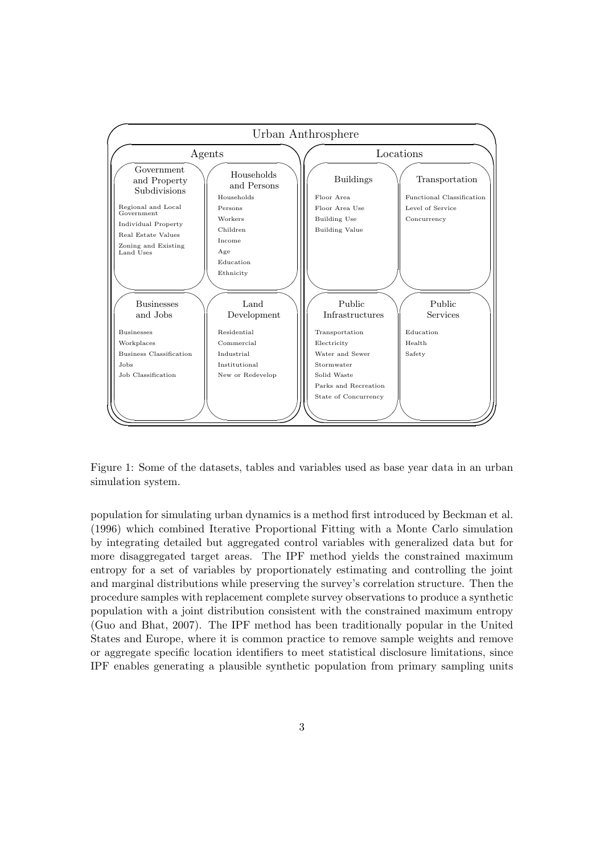

Figure 1: Some of the datasets, tables and variables used as base year data in an urban simulation system.

population for simulating urban dynamics is a method first introduced by Beckman et al. (1996) which combined Iterative Proportional Fitting with a Monte Carlo simulation by integrating detailed but aggregated control variables with generalized data but for more disaggregated target areas. The IPF method yields the constrained maximum entropy for a set of variables by proportionately estimating and controlling the joint and marginal distributions while preserving the survey's correlation structure. Then the procedure samples with replacement complete survey observations to produce a synthetic population with a joint distribution consistent with the constrained maximum entropy (Guo and Bhat, 2007). The IPF method has been traditionally popular in the United States and Europe, where it is common practice to remove sample weights and remove or aggregate specific location identifiers to meet statistical disclosure limitations, since IPF enables generating a plausible synthetic population from primary sampling units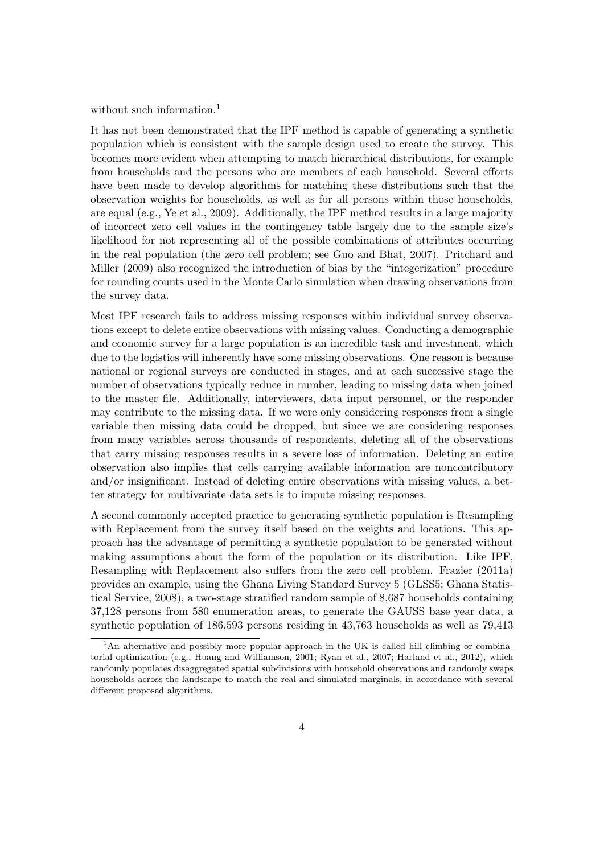without such information.<sup>1</sup>

It has not been demonstrated that the IPF method is capable of generating a synthetic population which is consistent with the sample design used to create the survey. This becomes more evident when attempting to match hierarchical distributions, for example from households and the persons who are members of each household. Several efforts have been made to develop algorithms for matching these distributions such that the observation weights for households, as well as for all persons within those households, are equal (e.g., Ye et al., 2009). Additionally, the IPF method results in a large majority of incorrect zero cell values in the contingency table largely due to the sample size's likelihood for not representing all of the possible combinations of attributes occurring in the real population (the zero cell problem; see Guo and Bhat, 2007). Pritchard and Miller (2009) also recognized the introduction of bias by the "integerization" procedure for rounding counts used in the Monte Carlo simulation when drawing observations from the survey data.

Most IPF research fails to address missing responses within individual survey observations except to delete entire observations with missing values. Conducting a demographic and economic survey for a large population is an incredible task and investment, which due to the logistics will inherently have some missing observations. One reason is because national or regional surveys are conducted in stages, and at each successive stage the number of observations typically reduce in number, leading to missing data when joined to the master file. Additionally, interviewers, data input personnel, or the responder may contribute to the missing data. If we were only considering responses from a single variable then missing data could be dropped, but since we are considering responses from many variables across thousands of respondents, deleting all of the observations that carry missing responses results in a severe loss of information. Deleting an entire observation also implies that cells carrying available information are noncontributory and/or insignificant. Instead of deleting entire observations with missing values, a better strategy for multivariate data sets is to impute missing responses.

A second commonly accepted practice to generating synthetic population is Resampling with Replacement from the survey itself based on the weights and locations. This approach has the advantage of permitting a synthetic population to be generated without making assumptions about the form of the population or its distribution. Like IPF, Resampling with Replacement also suffers from the zero cell problem. Frazier (2011a) provides an example, using the Ghana Living Standard Survey 5 (GLSS5; Ghana Statistical Service, 2008), a two-stage stratified random sample of 8,687 households containing 37,128 persons from 580 enumeration areas, to generate the GAUSS base year data, a synthetic population of 186,593 persons residing in 43,763 households as well as 79,413

<sup>&</sup>lt;sup>1</sup>An alternative and possibly more popular approach in the UK is called hill climbing or combinatorial optimization (e.g., Huang and Williamson, 2001; Ryan et al., 2007; Harland et al., 2012), which randomly populates disaggregated spatial subdivisions with household observations and randomly swaps households across the landscape to match the real and simulated marginals, in accordance with several different proposed algorithms.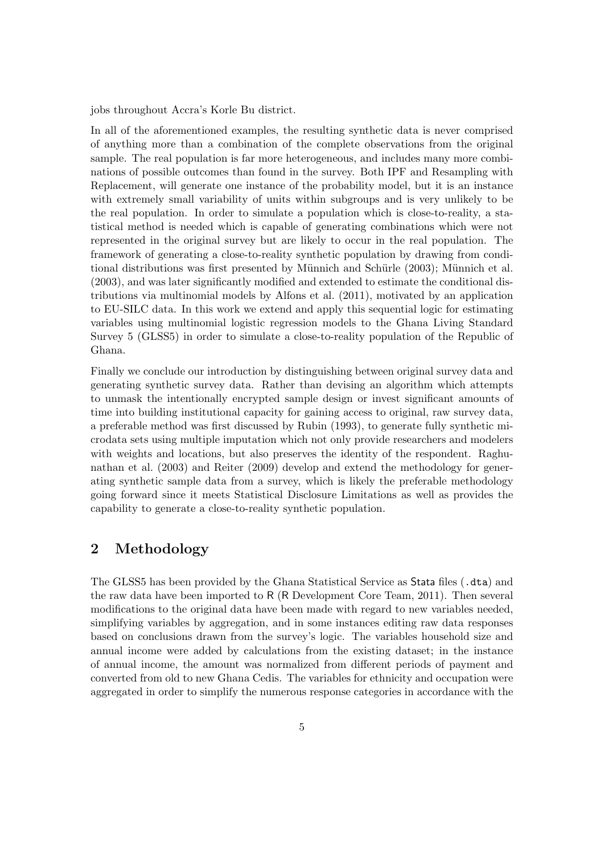jobs throughout Accra's Korle Bu district.

In all of the aforementioned examples, the resulting synthetic data is never comprised of anything more than a combination of the complete observations from the original sample. The real population is far more heterogeneous, and includes many more combinations of possible outcomes than found in the survey. Both IPF and Resampling with Replacement, will generate one instance of the probability model, but it is an instance with extremely small variability of units within subgroups and is very unlikely to be the real population. In order to simulate a population which is close-to-reality, a statistical method is needed which is capable of generating combinations which were not represented in the original survey but are likely to occur in the real population. The framework of generating a close-to-reality synthetic population by drawing from conditional distributions was first presented by Münnich and Schürle (2003); Münnich et al. (2003), and was later significantly modified and extended to estimate the conditional distributions via multinomial models by Alfons et al. (2011), motivated by an application to EU-SILC data. In this work we extend and apply this sequential logic for estimating variables using multinomial logistic regression models to the Ghana Living Standard Survey 5 (GLSS5) in order to simulate a close-to-reality population of the Republic of Ghana.

Finally we conclude our introduction by distinguishing between original survey data and generating synthetic survey data. Rather than devising an algorithm which attempts to unmask the intentionally encrypted sample design or invest significant amounts of time into building institutional capacity for gaining access to original, raw survey data, a preferable method was first discussed by Rubin (1993), to generate fully synthetic microdata sets using multiple imputation which not only provide researchers and modelers with weights and locations, but also preserves the identity of the respondent. Raghunathan et al. (2003) and Reiter (2009) develop and extend the methodology for generating synthetic sample data from a survey, which is likely the preferable methodology going forward since it meets Statistical Disclosure Limitations as well as provides the capability to generate a close-to-reality synthetic population.

# 2 Methodology

The GLSS5 has been provided by the Ghana Statistical Service as Stata files (.dta) and the raw data have been imported to R (R Development Core Team, 2011). Then several modifications to the original data have been made with regard to new variables needed, simplifying variables by aggregation, and in some instances editing raw data responses based on conclusions drawn from the survey's logic. The variables household size and annual income were added by calculations from the existing dataset; in the instance of annual income, the amount was normalized from different periods of payment and converted from old to new Ghana Cedis. The variables for ethnicity and occupation were aggregated in order to simplify the numerous response categories in accordance with the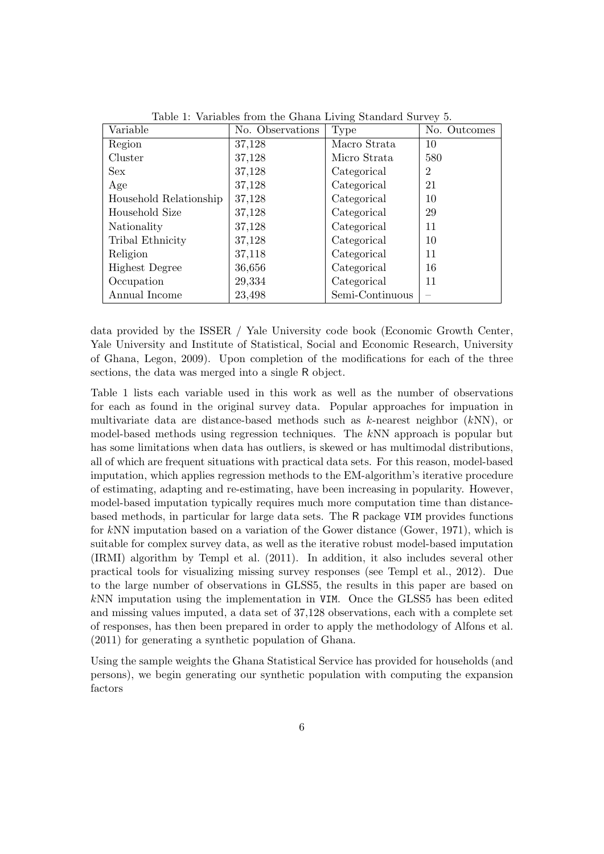| Variable               | No. Observations      | Type            | No. Outcomes   |
|------------------------|-----------------------|-----------------|----------------|
| Region                 | 37,128                | Macro Strata    | 10             |
| Cluster                | 37,128                | Micro Strata    | 580            |
| Sex                    | 37,128                | Categorical     | $\overline{2}$ |
| Age                    | 37,128<br>Categorical |                 | 21             |
| Household Relationship | 37,128                | Categorical     | 10             |
| Household Size         | 37,128                | Categorical     | 29             |
| Nationality            | 37,128                | Categorical     | 11             |
| Tribal Ethnicity       | 37,128                | Categorical     | 10             |
| Religion               | 37,118                | Categorical     | 11             |
| <b>Highest Degree</b>  | 36,656                | Categorical     | 16             |
| Occupation             | 29,334                | Categorical     | 11             |
| Annual Income          | 23,498                | Semi-Continuous |                |

Table 1: Variables from the Ghana Living Standard Survey 5.

data provided by the ISSER / Yale University code book (Economic Growth Center, Yale University and Institute of Statistical, Social and Economic Research, University of Ghana, Legon, 2009). Upon completion of the modifications for each of the three sections, the data was merged into a single R object.

Table 1 lists each variable used in this work as well as the number of observations for each as found in the original survey data. Popular approaches for impuation in multivariate data are distance-based methods such as k-nearest neighbor (kNN), or model-based methods using regression techniques. The kNN approach is popular but has some limitations when data has outliers, is skewed or has multimodal distributions, all of which are frequent situations with practical data sets. For this reason, model-based imputation, which applies regression methods to the EM-algorithm's iterative procedure of estimating, adapting and re-estimating, have been increasing in popularity. However, model-based imputation typically requires much more computation time than distancebased methods, in particular for large data sets. The R package VIM provides functions for kNN imputation based on a variation of the Gower distance (Gower, 1971), which is suitable for complex survey data, as well as the iterative robust model-based imputation (IRMI) algorithm by Templ et al. (2011). In addition, it also includes several other practical tools for visualizing missing survey responses (see Templ et al., 2012). Due to the large number of observations in GLSS5, the results in this paper are based on kNN imputation using the implementation in VIM. Once the GLSS5 has been edited and missing values imputed, a data set of 37,128 observations, each with a complete set of responses, has then been prepared in order to apply the methodology of Alfons et al. (2011) for generating a synthetic population of Ghana.

Using the sample weights the Ghana Statistical Service has provided for households (and persons), we begin generating our synthetic population with computing the expansion factors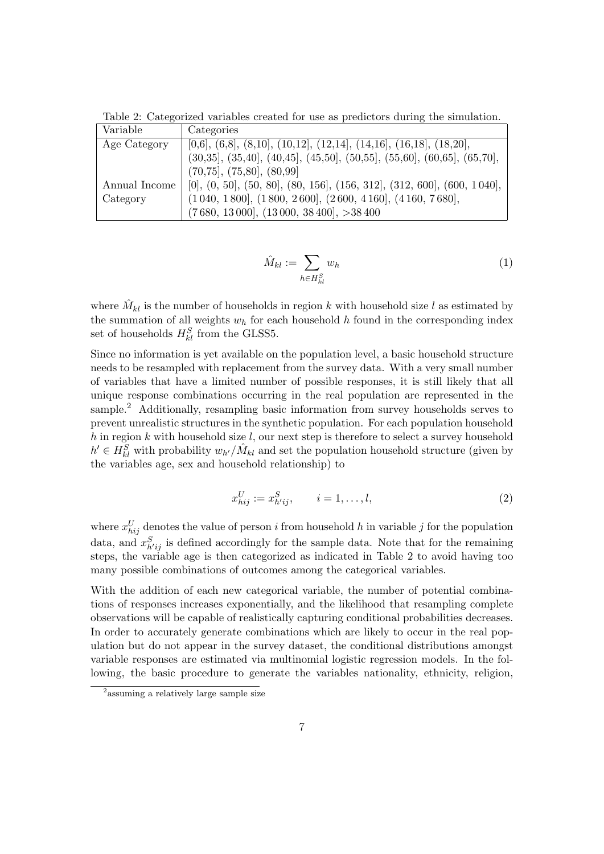Table 2: Categorized variables created for use as predictors during the simulation.

| Variable      | Categories                                                                |
|---------------|---------------------------------------------------------------------------|
| Age Category  | $[0,6], (6,8], (8,10], (10,12], (12,14], (14,16], (16,18], (18,20],$      |
|               | $(30,35], (35,40], (40,45], (45,50], (50,55], (55,60], (60,65], (65,70],$ |
|               | (70, 75], (75, 80], (80, 99)                                              |
| Annual Income | $[0], (0, 50], (50, 80], (80, 156], (156, 312], (312, 600], (600, 1040],$ |
| Category      | $(1\,040, 1\,800], (1\,800, 2\,600], (2\,600, 4\,160], (4\,160, 7\,680],$ |
|               | (7680, 13000), (13000, 38400), >38400                                     |

$$
\hat{M}_{kl} := \sum_{h \in H_{kl}^S} w_h \tag{1}
$$

where  $\hat{M}_{kl}$  is the number of households in region k with household size l as estimated by the summation of all weights  $w<sub>h</sub>$  for each household h found in the corresponding index set of households  $H_{kl}^S$  from the GLSS5.

Since no information is yet available on the population level, a basic household structure needs to be resampled with replacement from the survey data. With a very small number of variables that have a limited number of possible responses, it is still likely that all unique response combinations occurring in the real population are represented in the sample.<sup>2</sup> Additionally, resampling basic information from survey households serves to prevent unrealistic structures in the synthetic population. For each population household  $h$  in region  $k$  with household size  $l$ , our next step is therefore to select a survey household  $h' \in H_{kl}^S$  with probability  $w_{h'}/\hat{M}_{kl}$  and set the population household structure (given by the variables age, sex and household relationship) to

$$
x_{hij}^U := x_{h'ij}^S, \qquad i = 1, \dots, l,
$$
\n(2)

where  $x_{hij}^U$  denotes the value of person i from household h in variable j for the population data, and  $x_{h'ij}^S$  is defined accordingly for the sample data. Note that for the remaining steps, the variable age is then categorized as indicated in Table 2 to avoid having too many possible combinations of outcomes among the categorical variables.

With the addition of each new categorical variable, the number of potential combinations of responses increases exponentially, and the likelihood that resampling complete observations will be capable of realistically capturing conditional probabilities decreases. In order to accurately generate combinations which are likely to occur in the real population but do not appear in the survey dataset, the conditional distributions amongst variable responses are estimated via multinomial logistic regression models. In the following, the basic procedure to generate the variables nationality, ethnicity, religion,

<sup>2</sup> assuming a relatively large sample size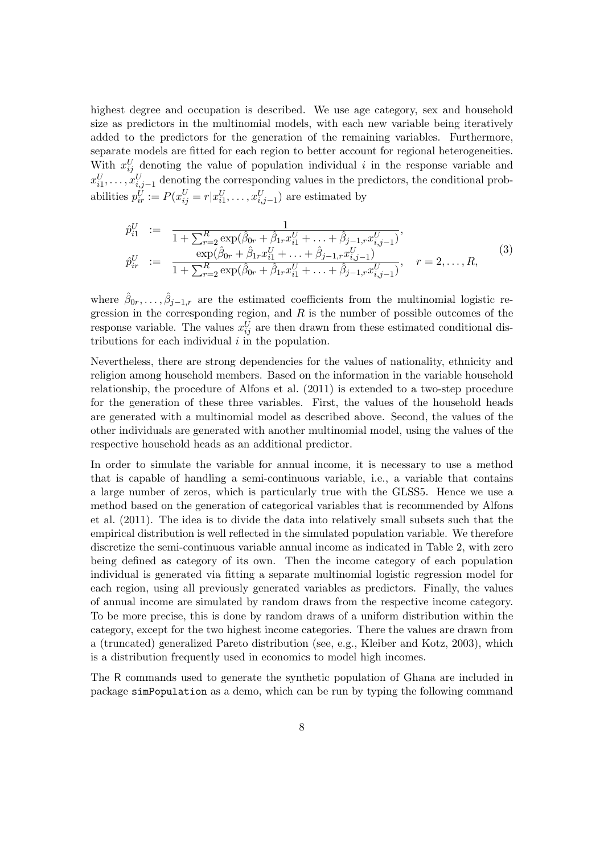highest degree and occupation is described. We use age category, sex and household size as predictors in the multinomial models, with each new variable being iteratively added to the predictors for the generation of the remaining variables. Furthermore, separate models are fitted for each region to better account for regional heterogeneities. With  $x_{ij}^U$  denoting the value of population individual i in the response variable and  $x_{i1}^U, \ldots, x_{i,j-1}^U$  denoting the corresponding values in the predictors, the conditional probabilities  $p_{ir}^{\vec{U}} := P(x_{ij}^U = r | x_{i1}^U, \dots, x_{i,j-1}^U)$  are estimated by

$$
\hat{p}_{i1}^U := \frac{1}{1 + \sum_{r=2}^R \exp(\hat{\beta}_{0r} + \hat{\beta}_{1r} x_{i1}^U + \dots + \hat{\beta}_{j-1,r} x_{i,j-1}^U)},
$$
\n
$$
\hat{p}_{ir}^U := \frac{\exp(\hat{\beta}_{0r} + \hat{\beta}_{1r} x_{i1}^U + \dots + \hat{\beta}_{j-1,r} x_{i,j-1}^U)}{1 + \sum_{r=2}^R \exp(\hat{\beta}_{0r} + \hat{\beta}_{1r} x_{i1}^U + \dots + \hat{\beta}_{j-1,r} x_{i,j-1}^U)}, \quad r = 2, \dots, R,
$$
\n(3)

where  $\hat{\beta}_{0r},\ldots,\hat{\beta}_{j-1,r}$  are the estimated coefficients from the multinomial logistic regression in the corresponding region, and  $R$  is the number of possible outcomes of the response variable. The values  $x_{ij}^U$  are then drawn from these estimated conditional distributions for each individual  $i$  in the population.

Nevertheless, there are strong dependencies for the values of nationality, ethnicity and religion among household members. Based on the information in the variable household relationship, the procedure of Alfons et al. (2011) is extended to a two-step procedure for the generation of these three variables. First, the values of the household heads are generated with a multinomial model as described above. Second, the values of the other individuals are generated with another multinomial model, using the values of the respective household heads as an additional predictor.

In order to simulate the variable for annual income, it is necessary to use a method that is capable of handling a semi-continuous variable, i.e., a variable that contains a large number of zeros, which is particularly true with the GLSS5. Hence we use a method based on the generation of categorical variables that is recommended by Alfons et al. (2011). The idea is to divide the data into relatively small subsets such that the empirical distribution is well reflected in the simulated population variable. We therefore discretize the semi-continuous variable annual income as indicated in Table 2, with zero being defined as category of its own. Then the income category of each population individual is generated via fitting a separate multinomial logistic regression model for each region, using all previously generated variables as predictors. Finally, the values of annual income are simulated by random draws from the respective income category. To be more precise, this is done by random draws of a uniform distribution within the category, except for the two highest income categories. There the values are drawn from a (truncated) generalized Pareto distribution (see, e.g., Kleiber and Kotz, 2003), which is a distribution frequently used in economics to model high incomes.

The R commands used to generate the synthetic population of Ghana are included in package simPopulation as a demo, which can be run by typing the following command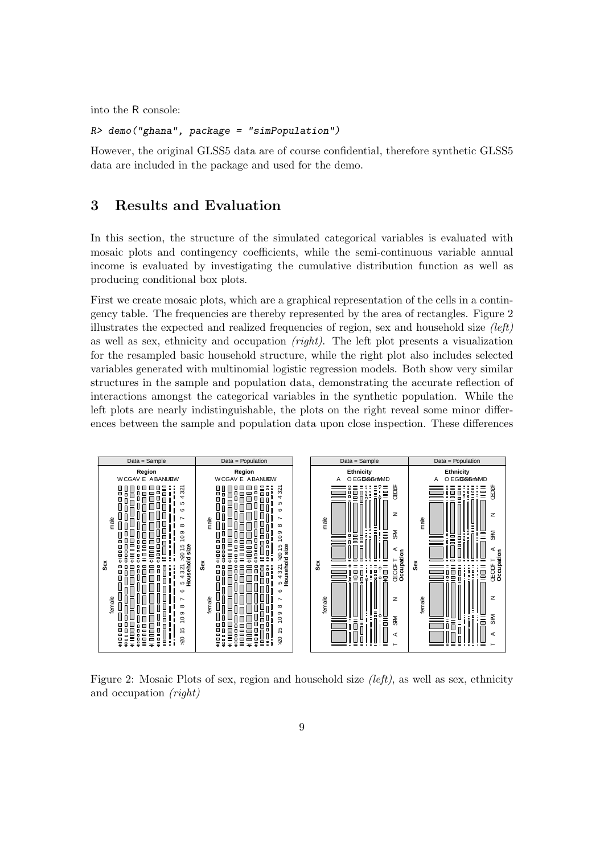into the R console:

### R> demo("ghana", package = "simPopulation")

However, the original GLSS5 data are of course confidential, therefore synthetic GLSS5 data are included in the package and used for the demo.

# 3 Results and Evaluation

In this section, the structure of the simulated categorical variables is evaluated with mosaic plots and contingency coefficients, while the semi-continuous variable annual income is evaluated by investigating the cumulative distribution function as well as producing conditional box plots.

First we create mosaic plots, which are a graphical representation of the cells in a contingency table. The frequencies are thereby represented by the area of rectangles. Figure 2 illustrates the expected and realized frequencies of region, sex and household size  $(left)$ as well as sex, ethnicity and occupation (right). The left plot presents a visualization for the resampled basic household structure, while the right plot also includes selected variables generated with multinomial logistic regression models. Both show very similar structures in the sample and population data, demonstrating the accurate reflection of interactions amongst the categorical variables in the synthetic population. While the left plots are nearly indistinguishable, the plots on the right reveal some minor differences between the sample and population data upon close inspection. These differences



Figure 2: Mosaic Plots of sex, region and household size  $(left)$ , as well as sex, ethnicity and occupation (right)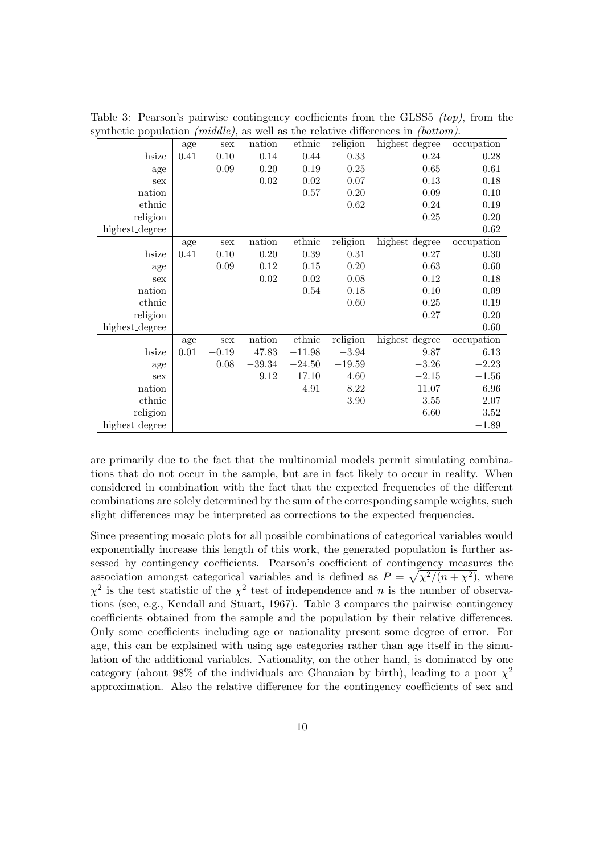|                                                                                                 |  |                          |                 |           |      |      | Table 3: Pearson's pairwise contingency coefficients from the GLSS5 <i>(top)</i> , from the |                           |  |
|-------------------------------------------------------------------------------------------------|--|--------------------------|-----------------|-----------|------|------|---------------------------------------------------------------------------------------------|---------------------------|--|
| synthetic population <i>(middle)</i> , as well as the relative differences in <i>(bottom)</i> . |  |                          |                 |           |      |      |                                                                                             |                           |  |
|                                                                                                 |  | age                      |                 |           |      |      | sex nation ethnic religion highest_degree occupation                                        |                           |  |
|                                                                                                 |  | hsize $\vert 0.41 \vert$ | 0.10            | 0.14      | 0.44 | 0.33 | 0.24                                                                                        | 0.28                      |  |
|                                                                                                 |  |                          | $\circ$ $\circ$ | 0.0000000 |      |      | $\sim$ $\sim$                                                                               | $\triangle$ $\triangle$ 4 |  |

| TIPIVC         | v.±⊥ | v. Lv    | <u>v. 14</u> | い・士士     | ∪⊶ບ      | 0.44           | 0.40       |
|----------------|------|----------|--------------|----------|----------|----------------|------------|
| age            |      | $0.09\,$ | 0.20         | 0.19     | 0.25     | 0.65           | 0.61       |
| sex            |      |          | 0.02         | 0.02     | 0.07     | 0.13           | 0.18       |
| nation         |      |          |              | 0.57     | 0.20     | 0.09           | 0.10       |
| ethnic         |      |          |              |          | 0.62     | 0.24           | 0.19       |
| religion       |      |          |              |          |          | 0.25           | 0.20       |
| highest_degree |      |          |              |          |          |                | 0.62       |
|                | age  | sex      | nation       | ethnic   | religion | highest_degree | occupation |
| hsize          | 0.41 | 0.10     | 0.20         | 0.39     | 0.31     | 0.27           | 0.30       |
| age            |      | 0.09     | 0.12         | 0.15     | 0.20     | 0.63           | 0.60       |
| sex            |      |          | 0.02         | 0.02     | 0.08     | 0.12           | 0.18       |
| nation         |      |          |              | 0.54     | 0.18     | 0.10           | 0.09       |
| ethnic         |      |          |              |          | 0.60     | 0.25           | 0.19       |
| religion       |      |          |              |          |          | 0.27           | 0.20       |
| highest_degree |      |          |              |          |          |                | 0.60       |
|                | age  | sex      | nation       | ethnic   | religion | highest_degree | occupation |
| hsize          | 0.01 | $-0.19$  | 47.83        | $-11.98$ | $-3.94$  | 9.87           | 6.13       |
| age            |      | 0.08     | $-39.34$     | $-24.50$ | $-19.59$ | $-3.26$        | $-2.23$    |
| sex            |      |          | 9.12         | 17.10    | 4.60     | $-2.15$        | $-1.56$    |
| nation         |      |          |              | $-4.91$  | $-8.22$  | 11.07          | $-6.96$    |
| ethnic         |      |          |              |          | $-3.90$  | 3.55           | $-2.07$    |
| religion       |      |          |              |          |          | 6.60           | $-3.52$    |
| highest_degree |      |          |              |          |          |                | $-1.89$    |

are primarily due to the fact that the multinomial models permit simulating combinations that do not occur in the sample, but are in fact likely to occur in reality. When considered in combination with the fact that the expected frequencies of the different combinations are solely determined by the sum of the corresponding sample weights, such slight differences may be interpreted as corrections to the expected frequencies.

Since presenting mosaic plots for all possible combinations of categorical variables would exponentially increase this length of this work, the generated population is further assessed by contingency coefficients. Pearson's coefficient of contingency measures the association amongst categorical variables and is defined as  $P = \sqrt{\chi^2/(n + \chi^2)}$ , where  $\chi^2$  is the test statistic of the  $\chi^2$  test of independence and n is the number of observations (see, e.g., Kendall and Stuart, 1967). Table 3 compares the pairwise contingency coefficients obtained from the sample and the population by their relative differences. Only some coefficients including age or nationality present some degree of error. For age, this can be explained with using age categories rather than age itself in the simulation of the additional variables. Nationality, on the other hand, is dominated by one category (about 98% of the individuals are Ghanaian by birth), leading to a poor  $\chi^2$ approximation. Also the relative difference for the contingency coefficients of sex and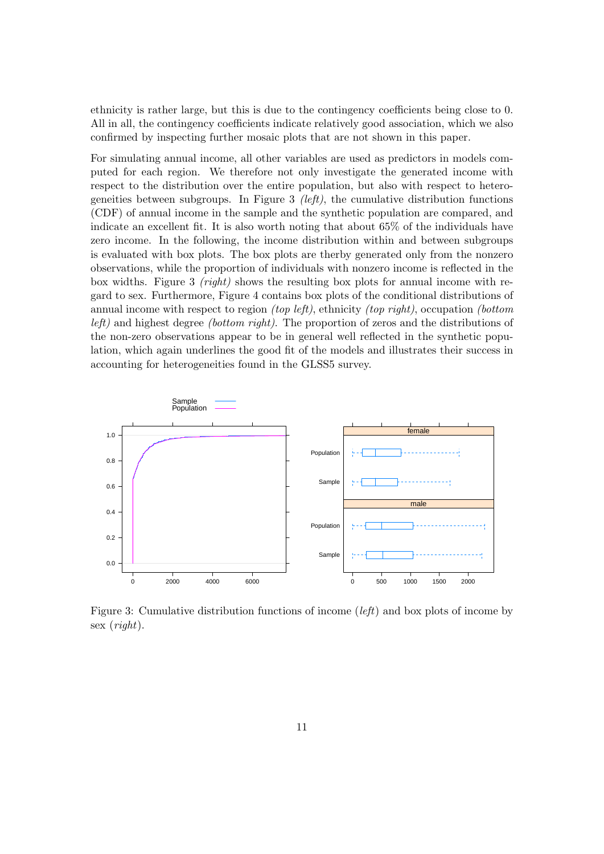ethnicity is rather large, but this is due to the contingency coefficients being close to 0. All in all, the contingency coefficients indicate relatively good association, which we also confirmed by inspecting further mosaic plots that are not shown in this paper.

For simulating annual income, all other variables are used as predictors in models computed for each region. We therefore not only investigate the generated income with respect to the distribution over the entire population, but also with respect to heterogeneities between subgroups. In Figure 3 (*left*), the cumulative distribution functions (CDF) of annual income in the sample and the synthetic population are compared, and indicate an excellent fit. It is also worth noting that about 65% of the individuals have zero income. In the following, the income distribution within and between subgroups is evaluated with box plots. The box plots are therby generated only from the nonzero observations, while the proportion of individuals with nonzero income is reflected in the box widths. Figure 3 *(right)* shows the resulting box plots for annual income with regard to sex. Furthermore, Figure 4 contains box plots of the conditional distributions of annual income with respect to region *(top left)*, ethnicity *(top right)*, occupation *(bottom*) left) and highest degree (bottom right). The proportion of zeros and the distributions of the non-zero observations appear to be in general well reflected in the synthetic population, which again underlines the good fit of the models and illustrates their success in accounting for heterogeneities found in the GLSS5 survey.



Figure 3: Cumulative distribution functions of income (*left*) and box plots of income by sex (right).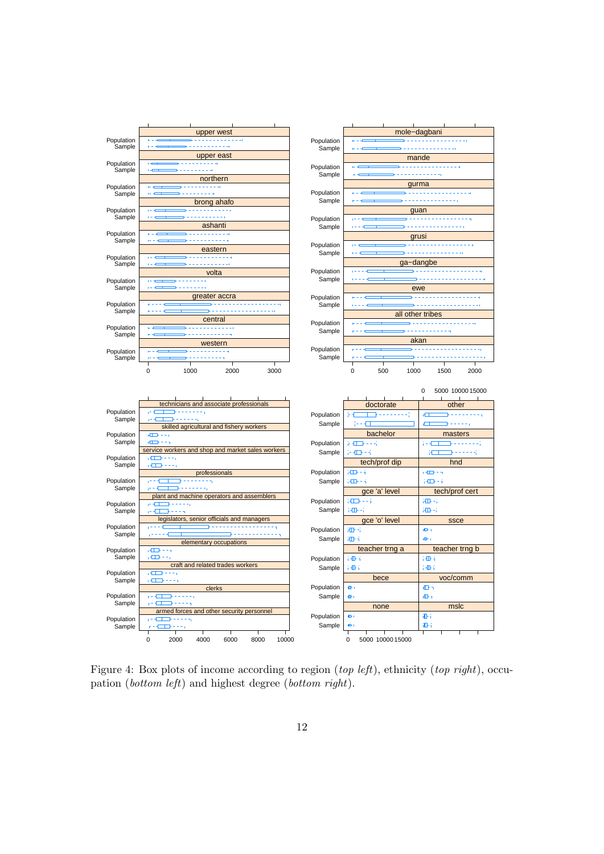

Figure 4: Box plots of income according to region (top left), ethnicity (top right), occupation (bottom left) and highest degree (bottom right).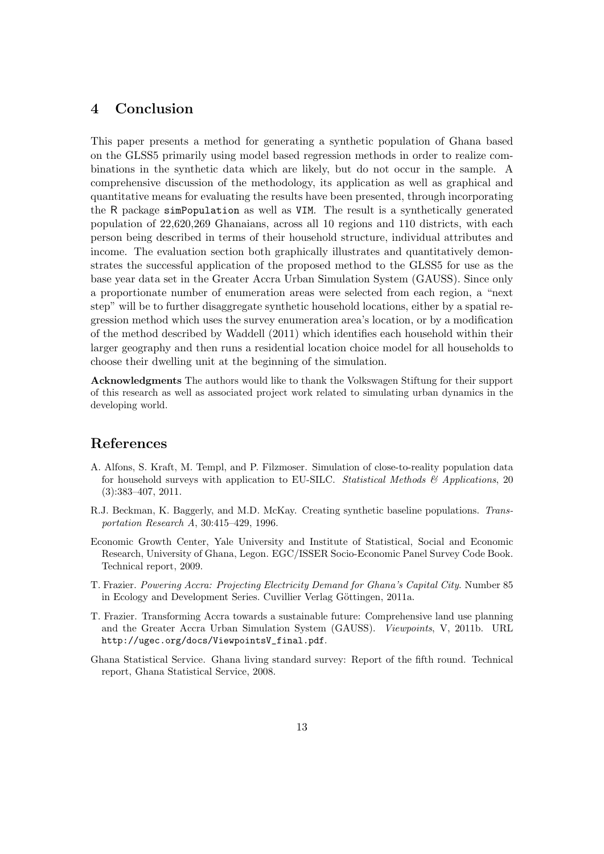# 4 Conclusion

This paper presents a method for generating a synthetic population of Ghana based on the GLSS5 primarily using model based regression methods in order to realize combinations in the synthetic data which are likely, but do not occur in the sample. A comprehensive discussion of the methodology, its application as well as graphical and quantitative means for evaluating the results have been presented, through incorporating the R package simPopulation as well as VIM. The result is a synthetically generated population of 22,620,269 Ghanaians, across all 10 regions and 110 districts, with each person being described in terms of their household structure, individual attributes and income. The evaluation section both graphically illustrates and quantitatively demonstrates the successful application of the proposed method to the GLSS5 for use as the base year data set in the Greater Accra Urban Simulation System (GAUSS). Since only a proportionate number of enumeration areas were selected from each region, a "next step" will be to further disaggregate synthetic household locations, either by a spatial regression method which uses the survey enumeration area's location, or by a modification of the method described by Waddell (2011) which identifies each household within their larger geography and then runs a residential location choice model for all households to choose their dwelling unit at the beginning of the simulation.

Acknowledgments The authors would like to thank the Volkswagen Stiftung for their support of this research as well as associated project work related to simulating urban dynamics in the developing world.

## References

- A. Alfons, S. Kraft, M. Templ, and P. Filzmoser. Simulation of close-to-reality population data for household surveys with application to EU-SILC. Statistical Methods  $\mathcal{B}'$  Applications, 20 (3):383–407, 2011.
- R.J. Beckman, K. Baggerly, and M.D. McKay. Creating synthetic baseline populations. Transportation Research A, 30:415–429, 1996.
- Economic Growth Center, Yale University and Institute of Statistical, Social and Economic Research, University of Ghana, Legon. EGC/ISSER Socio-Economic Panel Survey Code Book. Technical report, 2009.
- T. Frazier. Powering Accra: Projecting Electricity Demand for Ghana's Capital City. Number 85 in Ecology and Development Series. Cuvillier Verlag Göttingen, 2011a.
- T. Frazier. Transforming Accra towards a sustainable future: Comprehensive land use planning and the Greater Accra Urban Simulation System (GAUSS). Viewpoints, V, 2011b. URL http://ugec.org/docs/ViewpointsV\_final.pdf.
- Ghana Statistical Service. Ghana living standard survey: Report of the fifth round. Technical report, Ghana Statistical Service, 2008.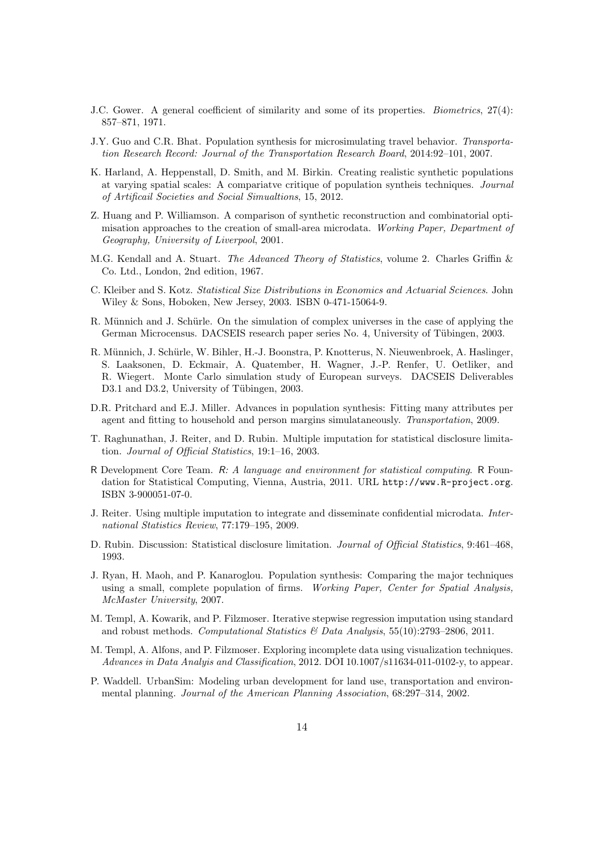- J.C. Gower. A general coefficient of similarity and some of its properties. Biometrics, 27(4): 857–871, 1971.
- J.Y. Guo and C.R. Bhat. Population synthesis for microsimulating travel behavior. Transportation Research Record: Journal of the Transportation Research Board, 2014:92–101, 2007.
- K. Harland, A. Heppenstall, D. Smith, and M. Birkin. Creating realistic synthetic populations at varying spatial scales: A compariatve critique of population syntheis techniques. Journal of Artificail Societies and Social Simualtions, 15, 2012.
- Z. Huang and P. Williamson. A comparison of synthetic reconstruction and combinatorial optimisation approaches to the creation of small-area microdata. Working Paper, Department of Geography, University of Liverpool, 2001.
- M.G. Kendall and A. Stuart. The Advanced Theory of Statistics, volume 2. Charles Griffin & Co. Ltd., London, 2nd edition, 1967.
- C. Kleiber and S. Kotz. Statistical Size Distributions in Economics and Actuarial Sciences. John Wiley & Sons, Hoboken, New Jersey, 2003. ISBN 0-471-15064-9.
- R. Münnich and J. Schürle. On the simulation of complex universes in the case of applying the German Microcensus. DACSEIS research paper series No. 4, University of Tübingen, 2003.
- R. Münnich, J. Schürle, W. Bihler, H.-J. Boonstra, P. Knotterus, N. Nieuwenbroek, A. Haslinger, S. Laaksonen, D. Eckmair, A. Quatember, H. Wagner, J.-P. Renfer, U. Oetliker, and R. Wiegert. Monte Carlo simulation study of European surveys. DACSEIS Deliverables D3.1 and D3.2, University of Tübingen, 2003.
- D.R. Pritchard and E.J. Miller. Advances in population synthesis: Fitting many attributes per agent and fitting to household and person margins simulataneously. Transportation, 2009.
- T. Raghunathan, J. Reiter, and D. Rubin. Multiple imputation for statistical disclosure limitation. Journal of Official Statistics, 19:1–16, 2003.
- R Development Core Team. R: A language and environment for statistical computing. R Foundation for Statistical Computing, Vienna, Austria, 2011. URL http://www.R-project.org. ISBN 3-900051-07-0.
- J. Reiter. Using multiple imputation to integrate and disseminate confidential microdata. International Statistics Review, 77:179–195, 2009.
- D. Rubin. Discussion: Statistical disclosure limitation. Journal of Official Statistics, 9:461–468, 1993.
- J. Ryan, H. Maoh, and P. Kanaroglou. Population synthesis: Comparing the major techniques using a small, complete population of firms. Working Paper, Center for Spatial Analysis, McMaster University, 2007.
- M. Templ, A. Kowarik, and P. Filzmoser. Iterative stepwise regression imputation using standard and robust methods. Computational Statistics & Data Analysis,  $55(10):2793-2806$ ,  $2011$ .
- M. Templ, A. Alfons, and P. Filzmoser. Exploring incomplete data using visualization techniques. Advances in Data Analyis and Classification, 2012. DOI 10.1007/s11634-011-0102-y, to appear.
- P. Waddell. UrbanSim: Modeling urban development for land use, transportation and environmental planning. Journal of the American Planning Association, 68:297–314, 2002.